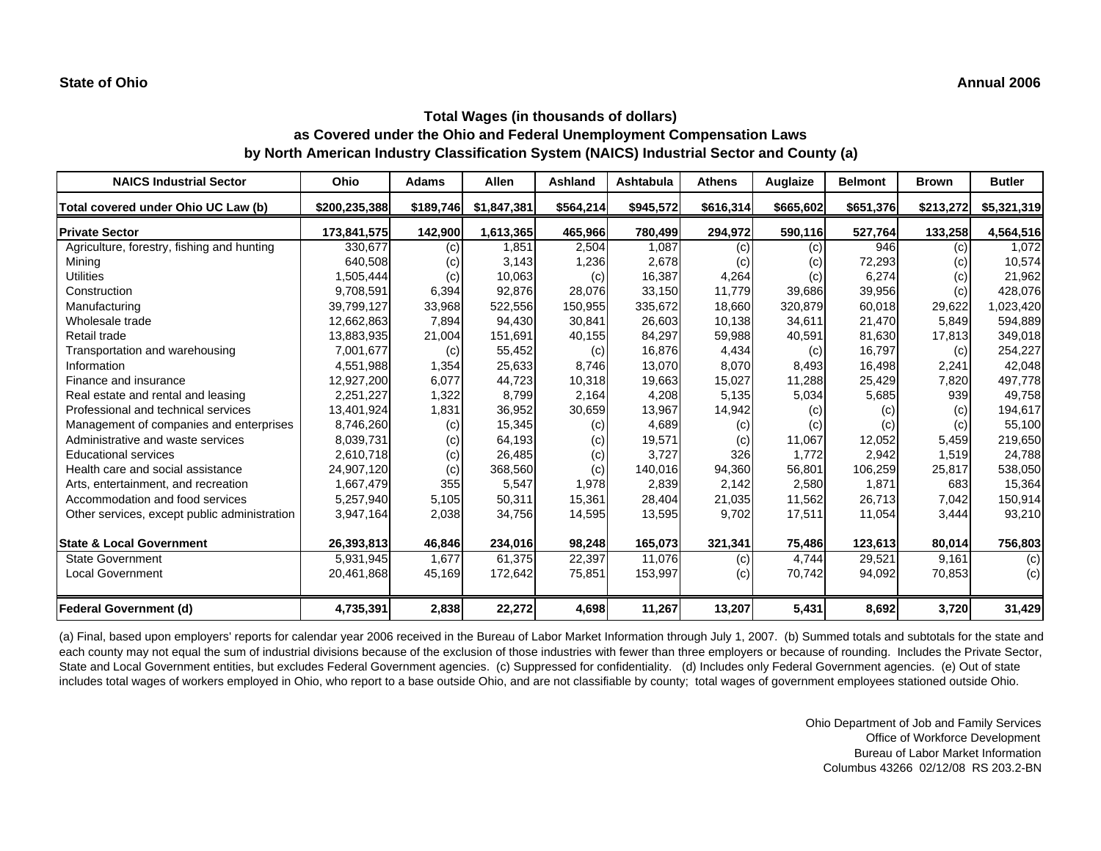| <b>NAICS Industrial Sector</b>               | Ohio          | <b>Adams</b> | Allen       | Ashland   | Ashtabula | <b>Athens</b> | Auglaize  | <b>Belmont</b> | <b>Brown</b> | <b>Butler</b> |
|----------------------------------------------|---------------|--------------|-------------|-----------|-----------|---------------|-----------|----------------|--------------|---------------|
| Total covered under Ohio UC Law (b)          | \$200,235,388 | \$189,746    | \$1,847,381 | \$564,214 | \$945,572 | \$616,314     | \$665,602 | \$651,376      | \$213,272    | \$5,321,319   |
| <b>Private Sector</b>                        | 173,841,575   | 142,900      | 1,613,365   | 465,966   | 780,499   | 294,972       | 590,116   | 527,764        | 133,258      | 4,564,516     |
| Agriculture, forestry, fishing and hunting   | 330,677       | (c)          | 1,851       | 2,504     | 1.087     | (c)           | (c)       | 946            | (c)          | 1,072         |
| Mining                                       | 640,508       | (c)          | 3,143       | 1,236     | 2,678     | (c)           | (c)       | 72,293         | (c)          | 10,574        |
| <b>Utilities</b>                             | 1,505,444     | (c)          | 10,063      | (c)       | 16,387    | 4,264         | (c)       | 6,274          | (c)          | 21,962        |
| Construction                                 | 9,708,591     | 6,394        | 92,876      | 28,076    | 33,150    | 11,779        | 39,686    | 39,956         | (c)          | 428,076       |
| Manufacturing                                | 39,799,127    | 33,968       | 522,556     | 150,955   | 335,672   | 18,660        | 320,879   | 60,018         | 29,622       | 1,023,420     |
| Wholesale trade                              | 12,662,863    | 7,894        | 94,430      | 30,841    | 26,603    | 10,138        | 34,611    | 21,470         | 5,849        | 594,889       |
| Retail trade                                 | 13,883,935    | 21,004       | 151,691     | 40,155    | 84,297    | 59,988        | 40,591    | 81,630         | 17,813       | 349,018       |
| Transportation and warehousing               | 7,001,677     | (c)          | 55,452      | (c)       | 16,876    | 4,434         | (c)       | 16,797         | (c)          | 254,227       |
| Information                                  | 4,551,988     | 1,354        | 25,633      | 8.746     | 13.070    | 8,070         | 8,493     | 16.498         | 2,241        | 42,048        |
| Finance and insurance                        | 12,927,200    | 6,077        | 44,723      | 10,318    | 19,663    | 15,027        | 11,288    | 25,429         | 7,820        | 497,778       |
| Real estate and rental and leasing           | 2,251,227     | 1,322        | 8,799       | 2,164     | 4,208     | 5,135         | 5,034     | 5,685          | 939          | 49,758        |
| Professional and technical services          | 13,401,924    | 1,831        | 36,952      | 30,659    | 13,967    | 14,942        | (c)       | (c)            | (c)          | 194,617       |
| Management of companies and enterprises      | 8,746,260     | (c)          | 15,345      | (c)       | 4,689     | (c)           | (c)       | (c)            | (c)          | 55,100        |
| Administrative and waste services            | 8.039.731     | (c)          | 64,193      | (c)       | 19,571    | (c)           | 11,067    | 12,052         | 5,459        | 219,650       |
| <b>Educational services</b>                  | 2,610,718     | (c)          | 26,485      | (c)       | 3,727     | 326           | 1.772     | 2,942          | 1,519        | 24,788        |
| Health care and social assistance            | 24,907,120    | (c)          | 368,560     | (c)       | 140,016   | 94,360        | 56,801    | 106,259        | 25,817       | 538,050       |
| Arts, entertainment, and recreation          | 1,667,479     | 355          | 5,547       | 1,978     | 2,839     | 2,142         | 2,580     | 1,871          | 683          | 15,364        |
| Accommodation and food services              | 5,257,940     | 5,105        | 50,311      | 15,361    | 28,404    | 21,035        | 11,562    | 26,713         | 7,042        | 150,914       |
| Other services, except public administration | 3,947,164     | 2,038        | 34,756      | 14,595    | 13,595    | 9,702         | 17,511    | 11,054         | 3,444        | 93,210        |
| <b>State &amp; Local Government</b>          | 26,393,813    | 46,846       | 234,016     | 98,248    | 165,073   | 321,341       | 75,486    | 123,613        | 80,014       | 756,803       |
| <b>State Government</b>                      | 5,931,945     | 1,677        | 61,375      | 22,397    | 11,076    | (c)           | 4,744     | 29,521         | 9,161        | (c)           |
| <b>Local Government</b>                      | 20,461,868    | 45,169       | 172,642     | 75,851    | 153,997   | (c)           | 70,742    | 94,092         | 70,853       | (c)           |
| <b>Federal Government (d)</b>                | 4,735,391     | 2,838        | 22,272      | 4,698     | 11,267    | 13,207        | 5,431     | 8,692          | 3,720        | 31,429        |

(a) Final, based upon employers' reports for calendar year 2006 received in the Bureau of Labor Market Information through July 1, 2007. (b) Summed totals and subtotals for the state and each county may not equal the sum of industrial divisions because of the exclusion of those industries with fewer than three employers or because of rounding. Includes the Private Sector, State and Local Government entities, but excludes Federal Government agencies. (c) Suppressed for confidentiality. (d) Includes only Federal Government agencies. (e) Out of state includes total wages of workers employed in Ohio, who report to a base outside Ohio, and are not classifiable by county; total wages of government employees stationed outside Ohio.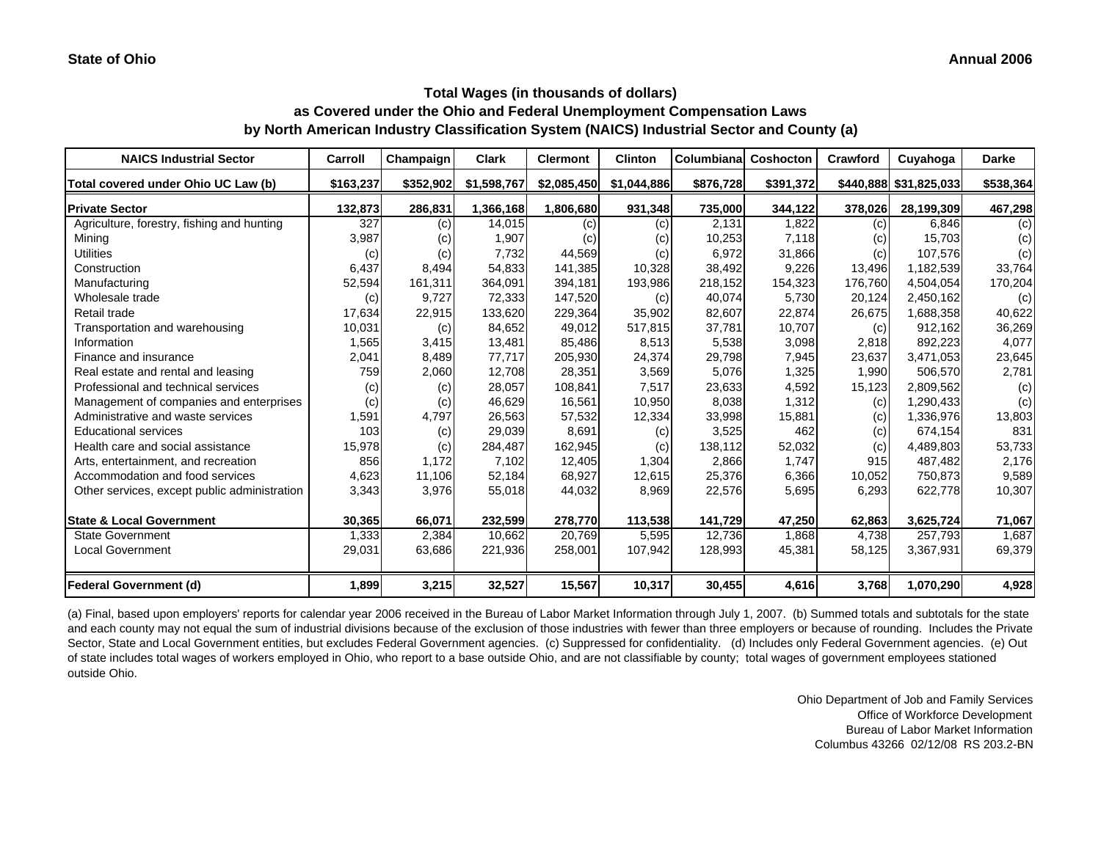| <b>NAICS Industrial Sector</b>               | Carroll   | Champaign | Clark       | <b>Clermont</b> | <b>Clinton</b> | <b>Columbianal</b> | Coshocton | Crawford | Cuyahoga               | <b>Darke</b> |
|----------------------------------------------|-----------|-----------|-------------|-----------------|----------------|--------------------|-----------|----------|------------------------|--------------|
| Total covered under Ohio UC Law (b)          | \$163,237 | \$352,902 | \$1,598,767 | \$2,085,450     | \$1,044,886    | \$876,728          | \$391,372 |          | \$440,888 \$31,825,033 | \$538,364    |
| <b>Private Sector</b>                        | 132,873   | 286,831   | 1,366,168   | 1,806,680       | 931,348        | 735,000            | 344,122   | 378,026  | 28,199,309             | 467,298      |
| Agriculture, forestry, fishing and hunting   | 327       | (c)       | 14,015      | (c)             | (c)            | 2,131              | 1,822     | (c)      | 6,846                  | (c)          |
| Mining                                       | 3,987     | (c)       | 1,907       | (c)             | (c)            | 10,253             | 7,118     | (c)      | 15,703                 | (c)          |
| <b>Utilities</b>                             | (c)       | (c)       | 7,732       | 44,569          | (c)            | 6,972              | 31,866    | (c)      | 107,576                | (c)          |
| Construction                                 | 6,437     | 8,494     | 54,833      | 141,385         | 10,328         | 38,492             | 9,226     | 13,496   | 1,182,539              | 33,764       |
| Manufacturing                                | 52,594    | 161,311   | 364,091     | 394,181         | 193,986        | 218,152            | 154,323   | 176,760  | 4,504,054              | 170,204      |
| Wholesale trade                              | (c)       | 9,727     | 72,333      | 147,520         | (c)            | 40,074             | 5,730     | 20,124   | 2,450,162              | (c)          |
| Retail trade                                 | 17,634    | 22,915    | 133,620     | 229,364         | 35,902         | 82,607             | 22,874    | 26,675   | 1,688,358              | 40,622       |
| Transportation and warehousing               | 10,031    | (c)       | 84,652      | 49,012          | 517,815        | 37,781             | 10,707    | (c)      | 912,162                | 36,269       |
| Information                                  | 1,565     | 3,415     | 13,481      | 85,486          | 8,513          | 5,538              | 3,098     | 2,818    | 892,223                | 4,077        |
| Finance and insurance                        | 2,041     | 8,489     | 77,717      | 205,930         | 24,374         | 29,798             | 7,945     | 23,637   | 3,471,053              | 23,645       |
| Real estate and rental and leasing           | 759       | 2,060     | 12,708      | 28,351          | 3,569          | 5,076              | 1,325     | 1,990    | 506,570                | 2,781        |
| Professional and technical services          | (c)       | (c)       | 28,057      | 108,841         | 7,517          | 23,633             | 4,592     | 15,123   | 2,809,562              | (c)          |
| Management of companies and enterprises      | (c)       | (c)       | 46,629      | 16,561          | 10,950         | 8,038              | 1,312     | (c)      | 1,290,433              | (c)          |
| Administrative and waste services            | 1,591     | 4,797     | 26,563      | 57,532          | 12,334         | 33,998             | 15,881    | (c)      | 1,336,976              | 13,803       |
| <b>Educational services</b>                  | 103       | (c)       | 29,039      | 8,691           | (c)            | 3,525              | 462       | (c)      | 674,154                | 831          |
| Health care and social assistance            | 15,978    | (c)       | 284,487     | 162,945         | (c)            | 138,112            | 52,032    | (c)      | 4,489,803              | 53,733       |
| Arts, entertainment, and recreation          | 856       | 1,172     | 7,102       | 12,405          | 1,304          | 2,866              | 1,747     | 915      | 487,482                | 2,176        |
| Accommodation and food services              | 4,623     | 11,106    | 52,184      | 68,927          | 12,615         | 25,376             | 6,366     | 10,052   | 750,873                | 9,589        |
| Other services, except public administration | 3,343     | 3,976     | 55,018      | 44,032          | 8,969          | 22,576             | 5,695     | 6,293    | 622,778                | 10,307       |
| <b>State &amp; Local Government</b>          | 30,365    | 66,071    | 232,599     | 278,770         | 113,538        | 141,729            | 47,250    | 62,863   | 3,625,724              | 71,067       |
| <b>State Government</b>                      | 1,333     | 2,384     | 10,662      | 20,769          | 5,595          | 12,736             | 1,868     | 4,738    | 257,793                | 1,687        |
| <b>Local Government</b>                      | 29,031    | 63,686    | 221,936     | 258,001         | 107,942        | 128,993            | 45,381    | 58,125   | 3,367,931              | 69,379       |
| <b>Federal Government (d)</b>                | 1,899     | 3,215     | 32,527      | 15,567          | 10,317         | 30,455             | 4,616     | 3,768    | 1,070,290              | 4,928        |

(a) Final, based upon employers' reports for calendar year 2006 received in the Bureau of Labor Market Information through July 1, 2007. (b) Summed totals and subtotals for the state and each county may not equal the sum of industrial divisions because of the exclusion of those industries with fewer than three employers or because of rounding. Includes the Private Sector, State and Local Government entities, but excludes Federal Government agencies. (c) Suppressed for confidentiality. (d) Includes only Federal Government agencies. (e) Out of state includes total wages of workers employed in Ohio, who report to a base outside Ohio, and are not classifiable by county; total wages of government employees stationed outside Ohio.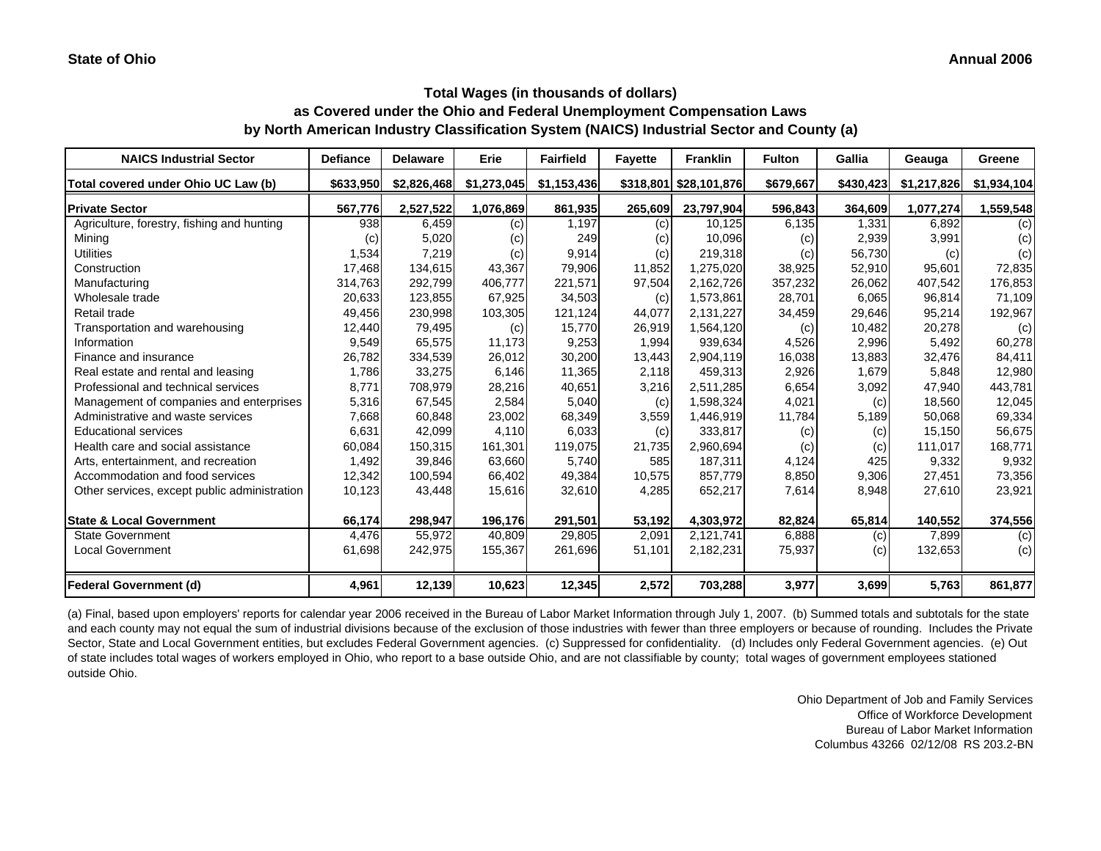| <b>NAICS Industrial Sector</b>               | <b>Defiance</b> | <b>Delaware</b> | Erie        | <b>Fairfield</b> | <b>Favette</b> | <b>Franklin</b>        | <b>Fulton</b> | Gallia    | Geauga      | Greene      |
|----------------------------------------------|-----------------|-----------------|-------------|------------------|----------------|------------------------|---------------|-----------|-------------|-------------|
| Total covered under Ohio UC Law (b)          | \$633.950       | \$2,826,468     | \$1,273,045 | \$1,153,436      |                | \$318,801 \$28,101,876 | \$679,667     | \$430,423 | \$1,217,826 | \$1,934,104 |
| <b>Private Sector</b>                        | 567,776         | 2,527,522       | 1,076,869   | 861,935          | 265,609        | 23,797,904             | 596,843       | 364,609   | 1,077,274   | 1,559,548   |
| Agriculture, forestry, fishing and hunting   | 938             | 6,459           | (c)         | 1,197            | (c)            | 10,125                 | 6,135         | 1,331     | 6,892       | (c)         |
| Mining                                       | (c)             | 5,020           | (c)         | 249              | (c)            | 10,096                 | (c)           | 2,939     | 3,991       | (c)         |
| <b>Utilities</b>                             | 1,534           | 7,219           | (c)         | 9,914            | (c)            | 219,318                | (c)           | 56,730    | (c)         | (c)         |
| Construction                                 | 17,468          | 134,615         | 43,367      | 79,906           | 11,852         | 1,275,020              | 38,925        | 52,910    | 95,601      | 72,835      |
| Manufacturing                                | 314,763         | 292,799         | 406,777     | 221,571          | 97,504         | 2,162,726              | 357,232       | 26,062    | 407,542     | 176,853     |
| Wholesale trade                              | 20,633          | 123,855         | 67,925      | 34,503           | (c)            | 1,573,861              | 28,701        | 6,065     | 96,814      | 71,109      |
| Retail trade                                 | 49,456          | 230,998         | 103,305     | 121,124          | 44,077         | 2,131,227              | 34,459        | 29,646    | 95,214      | 192,967     |
| Transportation and warehousing               | 12,440          | 79,495          | (c)         | 15,770           | 26,919         | 1,564,120              | (c)           | 10,482    | 20,278      | (c)         |
| Information                                  | 9,549           | 65,575          | 11,173      | 9,253            | 1,994          | 939,634                | 4,526         | 2,996     | 5,492       | 60,278      |
| Finance and insurance                        | 26,782          | 334,539         | 26,012      | 30,200           | 13,443         | 2,904,119              | 16,038        | 13,883    | 32,476      | 84,411      |
| Real estate and rental and leasing           | 1,786           | 33,275          | 6,146       | 11,365           | 2,118          | 459,313                | 2,926         | 1,679     | 5,848       | 12,980      |
| Professional and technical services          | 8,771           | 708,979         | 28,216      | 40,651           | 3,216          | 2,511,285              | 6,654         | 3,092     | 47.940      | 443,781     |
| Management of companies and enterprises      | 5,316           | 67,545          | 2,584       | 5,040            | (c)            | 1,598,324              | 4,021         | (c)       | 18,560      | 12,045      |
| Administrative and waste services            | 7,668           | 60,848          | 23,002      | 68,349           | 3,559          | 1,446,919              | 11,784        | 5,189     | 50,068      | 69,334      |
| <b>Educational services</b>                  | 6,631           | 42,099          | 4,110       | 6,033            | (c)            | 333,817                | (c)           | (c)       | 15,150      | 56,675      |
| Health care and social assistance            | 60,084          | 150,315         | 161,301     | 119,075          | 21,735         | 2,960,694              | (c)           | (c)       | 111,017     | 168,771     |
| Arts, entertainment, and recreation          | 1,492           | 39,846          | 63,660      | 5,740            | 585            | 187,311                | 4,124         | 425       | 9,332       | 9,932       |
| Accommodation and food services              | 12,342          | 100,594         | 66,402      | 49,384           | 10,575         | 857,779                | 8,850         | 9,306     | 27,451      | 73,356      |
| Other services, except public administration | 10,123          | 43,448          | 15,616      | 32,610           | 4,285          | 652,217                | 7,614         | 8,948     | 27,610      | 23,921      |
| <b>State &amp; Local Government</b>          | 66,174          | 298,947         | 196,176     | 291,501          | 53,192         | 4,303,972              | 82,824        | 65,814    | 140,552     | 374,556     |
| <b>State Government</b>                      | 4.476           | 55.972          | 40.809      | 29,805           | 2,091          | 2,121,741              | 6,888         | (c)       | 7,899       | (c)         |
| <b>Local Government</b>                      | 61,698          | 242,975         | 155,367     | 261,696          | 51,101         | 2,182,231              | 75,937        | (c)       | 132,653     | (c)         |
| <b>Federal Government (d)</b>                | 4,961           | 12,139          | 10,623      | 12,345           | 2,572          | 703,288                | 3,977         | 3,699     | 5,763       | 861,877     |

(a) Final, based upon employers' reports for calendar year 2006 received in the Bureau of Labor Market Information through July 1, 2007. (b) Summed totals and subtotals for the state and each county may not equal the sum of industrial divisions because of the exclusion of those industries with fewer than three employers or because of rounding. Includes the Private Sector, State and Local Government entities, but excludes Federal Government agencies. (c) Suppressed for confidentiality. (d) Includes only Federal Government agencies. (e) Out of state includes total wages of workers employed in Ohio, who report to a base outside Ohio, and are not classifiable by county; total wages of government employees stationed outside Ohio.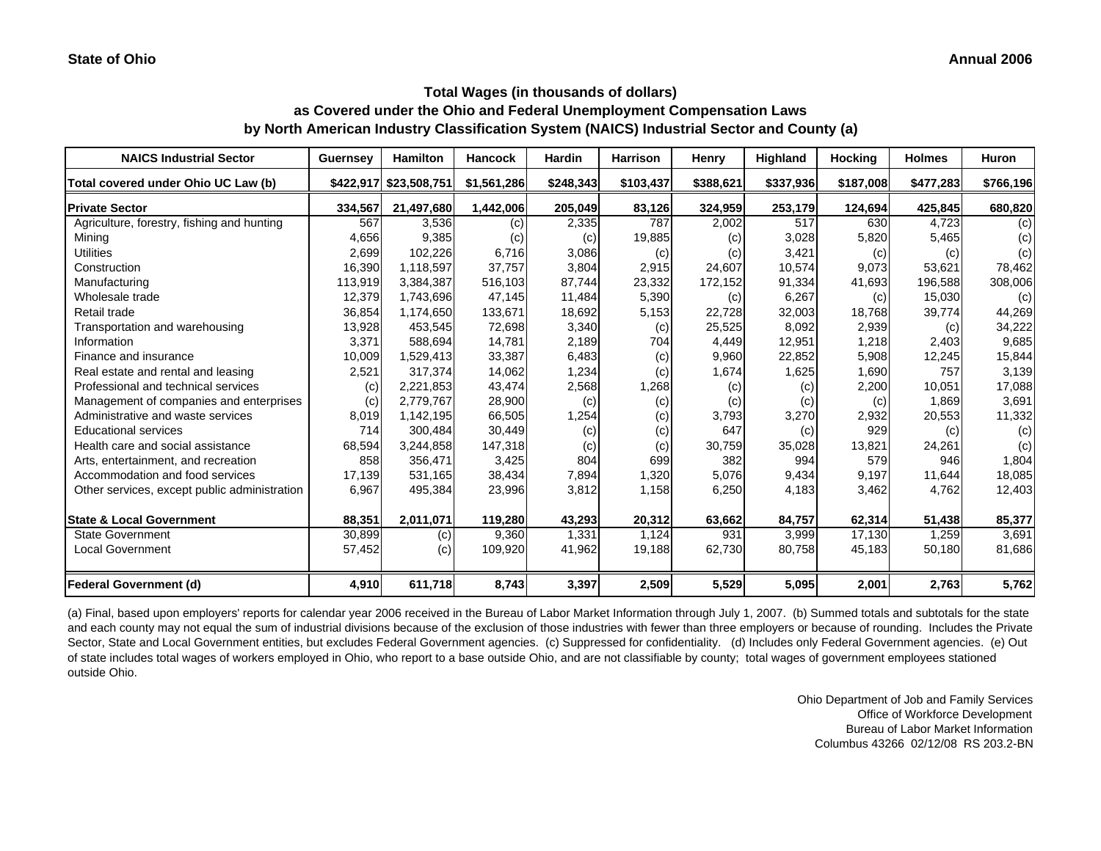#### **Annual 2006**

#### **Total Wages (in thousands of dollars) as Covered under the Ohio and Federal Unemployment Compensation Laws by North American Industry Classification System (NAICS) Industrial Sector and County (a)**

| <b>NAICS Industrial Sector</b>               | <b>Guernsey</b> | <b>Hamilton</b>        | <b>Hancock</b> | <b>Hardin</b> | <b>Harrison</b> | Henry     | Highland  | Hocking   | <b>Holmes</b> | <b>Huron</b> |
|----------------------------------------------|-----------------|------------------------|----------------|---------------|-----------------|-----------|-----------|-----------|---------------|--------------|
| Total covered under Ohio UC Law (b)          |                 | \$422,917 \$23,508,751 | \$1,561,286    | \$248,343     | \$103,437       | \$388,621 | \$337,936 | \$187,008 | \$477,283     | \$766,196    |
| <b>Private Sector</b>                        | 334,567         | 21,497,680             | 1,442,006      | 205,049       | 83,126          | 324,959   | 253,179   | 124,694   | 425,845       | 680,820      |
| Agriculture, forestry, fishing and hunting   | 567             | 3,536                  | (c)            | 2,335         | 787             | 2,002     | 517       | 630       | 4,723         | (c)          |
| Mining                                       | 4,656           | 9,385                  | (c)            | (c)           | 19,885          | (c)       | 3,028     | 5,820     | 5,465         | (c)          |
| <b>Utilities</b>                             | 2,699           | 102,226                | 6,716          | 3,086         | (c)             | (c)       | 3,421     | (c)       | (c)           | (c)          |
| Construction                                 | 16,390          | 1,118,597              | 37.757         | 3,804         | 2,915           | 24,607    | 10,574    | 9,073     | 53,621        | 78,462       |
| Manufacturing                                | 113,919         | 3,384,387              | 516,103        | 87,744        | 23,332          | 172,152   | 91,334    | 41,693    | 196,588       | 308,006      |
| Wholesale trade                              | 12,379          | 1,743,696              | 47,145         | 11,484        | 5,390           | (c)       | 6,267     | (c)       | 15,030        | (c)          |
| Retail trade                                 | 36,854          | 1,174,650              | 133,671        | 18,692        | 5,153           | 22,728    | 32,003    | 18,768    | 39,774        | 44,269       |
| Transportation and warehousing               | 13,928          | 453,545                | 72,698         | 3,340         | (c)             | 25,525    | 8,092     | 2,939     | (c)           | 34,222       |
| Information                                  | 3,371           | 588.694                | 14.781         | 2,189         | 704             | 4,449     | 12,951    | 1,218     | 2.403         | 9,685        |
| Finance and insurance                        | 10,009          | 1,529,413              | 33,387         | 6,483         | (c)             | 9,960     | 22,852    | 5,908     | 12,245        | 15,844       |
| Real estate and rental and leasing           | 2,521           | 317,374                | 14,062         | 1,234         | (c)             | 1,674     | 1,625     | 1,690     | 757           | 3,139        |
| Professional and technical services          | (c)             | 2,221,853              | 43,474         | 2,568         | 1,268           | (c)       | (c)       | 2,200     | 10,051        | 17,088       |
| Management of companies and enterprises      | (c)             | 2,779,767              | 28,900         | (c)           | (c)             | (c)       | (c)       | (c)       | 1,869         | 3,691        |
| Administrative and waste services            | 8,019           | 1,142,195              | 66,505         | 1,254         | (c)             | 3,793     | 3,270     | 2,932     | 20,553        | 11,332       |
| <b>Educational services</b>                  | 714             | 300.484                | 30,449         | (c)           | (c)             | 647       | (c)       | 929       | (c)           | (c)          |
| Health care and social assistance            | 68,594          | 3,244,858              | 147,318        | (c)           | (c)             | 30,759    | 35,028    | 13,821    | 24,261        | (c)          |
| Arts, entertainment, and recreation          | 858             | 356,471                | 3,425          | 804           | 699             | 382       | 994       | 579       | 946           | 1,804        |
| Accommodation and food services              | 17,139          | 531,165                | 38,434         | 7,894         | 1,320           | 5,076     | 9,434     | 9,197     | 11,644        | 18,085       |
| Other services, except public administration | 6,967           | 495,384                | 23,996         | 3,812         | 1,158           | 6,250     | 4,183     | 3,462     | 4,762         | 12,403       |
| <b>State &amp; Local Government</b>          | 88,351          | 2,011,071              | 119,280        | 43,293        | 20,312          | 63,662    | 84,757    | 62,314    | 51,438        | 85,377       |
| <b>State Government</b>                      | 30,899          | (c)                    | 9.360          | 1,331         | 1.124           | 931       | 3,999     | 17,130    | 1,259         | 3,691        |
| <b>Local Government</b>                      | 57,452          | (c)                    | 109,920        | 41,962        | 19,188          | 62,730    | 80,758    | 45,183    | 50,180        | 81,686       |
| <b>Federal Government (d)</b>                | 4,910           | 611,718                | 8,743          | 3,397         | 2,509           | 5,529     | 5,095     | 2,001     | 2,763         | 5,762        |

(a) Final, based upon employers' reports for calendar year 2006 received in the Bureau of Labor Market Information through July 1, 2007. (b) Summed totals and subtotals for the state and each county may not equal the sum of industrial divisions because of the exclusion of those industries with fewer than three employers or because of rounding. Includes the Private Sector, State and Local Government entities, but excludes Federal Government agencies. (c) Suppressed for confidentiality. (d) Includes only Federal Government agencies. (e) Out of state includes total wages of workers employed in Ohio, who report to a base outside Ohio, and are not classifiable by county; total wages of government employees stationed outside Ohio.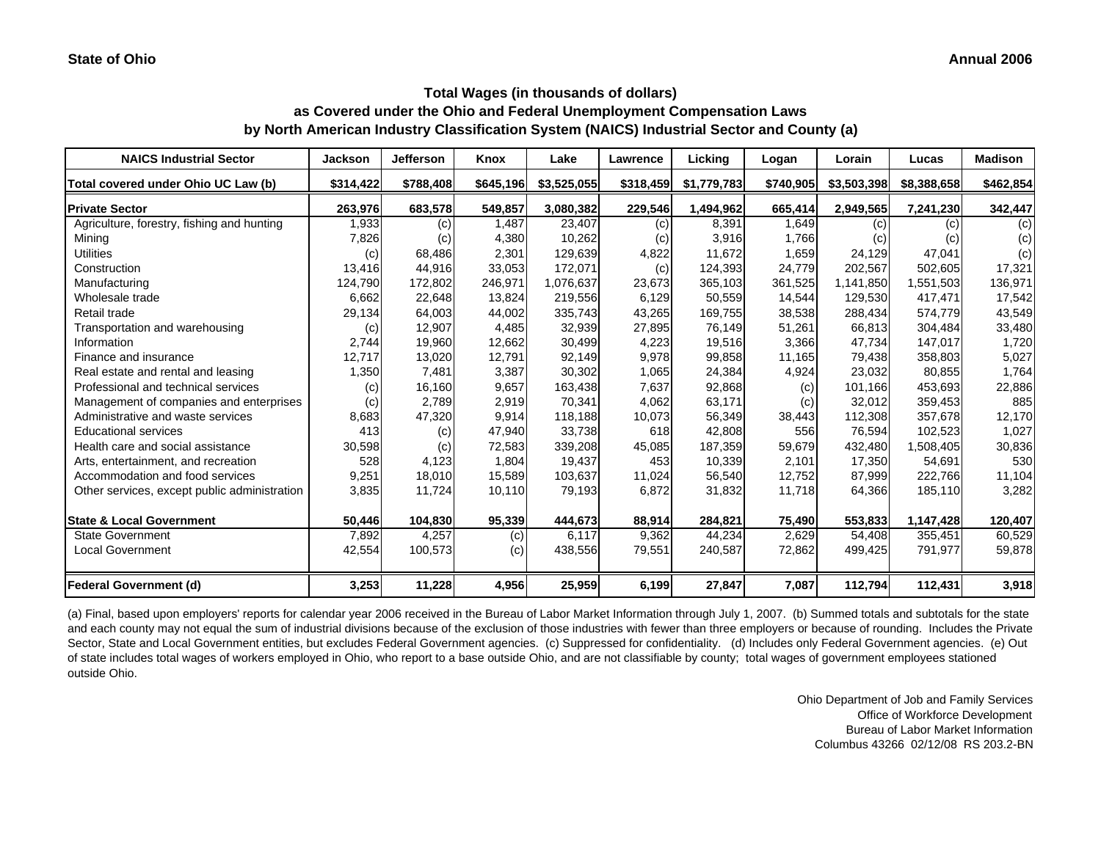| <b>NAICS Industrial Sector</b>               | Jackson   | <b>Jefferson</b> | Knox      | Lake        | Lawrence  | Licking     | Logan     | Lorain      | Lucas       | <b>Madison</b> |
|----------------------------------------------|-----------|------------------|-----------|-------------|-----------|-------------|-----------|-------------|-------------|----------------|
| Total covered under Ohio UC Law (b)          | \$314,422 | \$788,408        | \$645,196 | \$3,525,055 | \$318,459 | \$1,779,783 | \$740,905 | \$3,503,398 | \$8,388,658 | \$462,854      |
| <b>Private Sector</b>                        | 263,976   | 683,578          | 549,857   | 3,080,382   | 229,546   | 1,494,962   | 665,414   | 2,949,565   | 7,241,230   | 342,447        |
| Agriculture, forestry, fishing and hunting   | 1,933     | (c)              | 1,487     | 23,407      | (c)       | 8,391       | 1,649     | (c)         | (c)         | (c)            |
| Mining                                       | 7,826     | (c)              | 4,380     | 10,262      | (c)       | 3,916       | 1,766     | (c)         | (c)         | (c)            |
| <b>Utilities</b>                             | (c)       | 68,486           | 2,301     | 129,639     | 4,822     | 11,672      | 1,659     | 24,129      | 47,041      | (c)            |
| Construction                                 | 13,416    | 44,916           | 33,053    | 172,071     | (c)       | 124,393     | 24,779    | 202,567     | 502.605     | 17,321         |
| Manufacturing                                | 124,790   | 172,802          | 246,971   | 1,076,637   | 23,673    | 365,103     | 361,525   | 1,141,850   | 1,551,503   | 136,971        |
| Wholesale trade                              | 6,662     | 22,648           | 13,824    | 219,556     | 6,129     | 50,559      | 14,544    | 129,530     | 417,471     | 17,542         |
| Retail trade                                 | 29,134    | 64,003           | 44,002    | 335,743     | 43,265    | 169,755     | 38,538    | 288,434     | 574,779     | 43,549         |
| Transportation and warehousing               | (c)       | 12,907           | 4,485     | 32,939      | 27,895    | 76,149      | 51,261    | 66,813      | 304,484     | 33,480         |
| Information                                  | 2,744     | 19,960           | 12,662    | 30,499      | 4,223     | 19,516      | 3,366     | 47,734      | 147,017     | 1,720          |
| Finance and insurance                        | 12,717    | 13,020           | 12,791    | 92,149      | 9,978     | 99,858      | 11,165    | 79,438      | 358,803     | 5,027          |
| Real estate and rental and leasing           | 1,350     | 7,481            | 3,387     | 30,302      | 1,065     | 24,384      | 4,924     | 23,032      | 80,855      | 1,764          |
| Professional and technical services          | (c)       | 16,160           | 9,657     | 163,438     | 7,637     | 92,868      | (c)       | 101,166     | 453,693     | 22,886         |
| Management of companies and enterprises      | (c)       | 2,789            | 2,919     | 70,341      | 4,062     | 63,171      | (c)       | 32,012      | 359,453     | 885            |
| Administrative and waste services            | 8,683     | 47,320           | 9,914     | 118,188     | 10,073    | 56,349      | 38,443    | 112,308     | 357,678     | 12,170         |
| <b>Educational services</b>                  | 413       | (c)              | 47,940    | 33,738      | 618       | 42,808      | 556       | 76,594      | 102,523     | 1,027          |
| Health care and social assistance            | 30,598    | (c)              | 72,583    | 339,208     | 45,085    | 187,359     | 59,679    | 432.480     | 1,508,405   | 30,836         |
| Arts, entertainment, and recreation          | 528       | 4,123            | 1,804     | 19,437      | 453       | 10,339      | 2,101     | 17,350      | 54,691      | 530            |
| Accommodation and food services              | 9,251     | 18,010           | 15,589    | 103,637     | 11,024    | 56,540      | 12,752    | 87,999      | 222,766     | 11,104         |
| Other services, except public administration | 3,835     | 11,724           | 10,110    | 79,193      | 6,872     | 31,832      | 11,718    | 64,366      | 185,110     | 3,282          |
| <b>State &amp; Local Government</b>          | 50,446    | 104,830          | 95,339    | 444,673     | 88,914    | 284,821     | 75,490    | 553,833     | 1,147,428   | 120,407        |
| <b>State Government</b>                      | 7,892     | 4,257            | (c)       | 6,117       | 9,362     | 44,234      | 2,629     | 54,408      | 355,451     | 60,529         |
| <b>Local Government</b>                      | 42,554    | 100,573          | (c)       | 438,556     | 79,551    | 240,587     | 72,862    | 499,425     | 791,977     | 59,878         |
| <b>Federal Government (d)</b>                | 3,253     | 11,228           | 4,956     | 25,959      | 6,199     | 27,847      | 7,087     | 112,794     | 112,431     | 3,918          |

(a) Final, based upon employers' reports for calendar year 2006 received in the Bureau of Labor Market Information through July 1, 2007. (b) Summed totals and subtotals for the state and each county may not equal the sum of industrial divisions because of the exclusion of those industries with fewer than three employers or because of rounding. Includes the Private Sector, State and Local Government entities, but excludes Federal Government agencies. (c) Suppressed for confidentiality. (d) Includes only Federal Government agencies. (e) Out of state includes total wages of workers employed in Ohio, who report to a base outside Ohio, and are not classifiable by county; total wages of government employees stationed outside Ohio.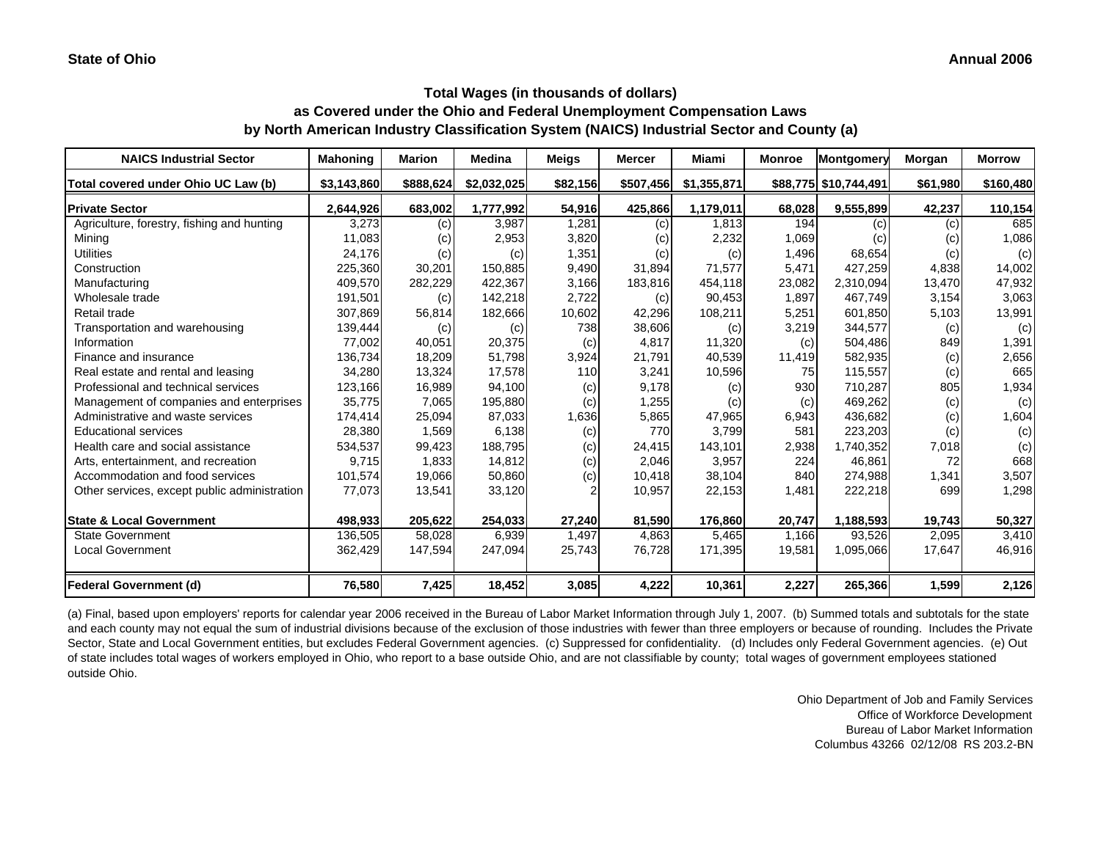# **Total Wages (in thousands of dollars)**

**as Covered under the Ohio and Federal Unemployment Compensation Laws by North American Industry Classification System (NAICS) Industrial Sector and County (a)**

| <b>NAICS Industrial Sector</b>               | <b>Mahoning</b> | Marion    | Medina      | Meigs    | <b>Mercer</b> | Miami       | <b>Monroe</b> | Montgomery            | Morgan   | <b>Morrow</b> |
|----------------------------------------------|-----------------|-----------|-------------|----------|---------------|-------------|---------------|-----------------------|----------|---------------|
| Total covered under Ohio UC Law (b)          | \$3,143,860     | \$888,624 | \$2,032,025 | \$82,156 | \$507,456     | \$1,355,871 |               | \$88,775 \$10,744,491 | \$61,980 | \$160,480     |
| <b>Private Sector</b>                        | 2,644,926       | 683,002   | 1,777,992   | 54,916   | 425,866       | 1,179,011   | 68,028        | 9,555,899             | 42,237   | 110,154       |
| Agriculture, forestry, fishing and hunting   | 3,273           | (c)       | 3,987       | 1,281    | (c)           | 1,813       | 194           | (c)                   | (c)      | 685           |
| Mining                                       | 11,083          | (c)       | 2,953       | 3,820    | (c)           | 2,232       | 1,069         | (c)                   | (c)      | 1,086         |
| <b>Utilities</b>                             | 24,176          | (c)       | (c)         | 1,351    | (c)           | (c)         | 1,496         | 68,654                | (c)      | (c)           |
| Construction                                 | 225,360         | 30,201    | 150,885     | 9,490    | 31,894        | 71,577      | 5,471         | 427,259               | 4,838    | 14,002        |
| Manufacturing                                | 409,570         | 282,229   | 422,367     | 3,166    | 183,816       | 454,118     | 23,082        | 2,310,094             | 13,470   | 47,932        |
| Wholesale trade                              | 191,501         | (c)       | 142,218     | 2,722    | (c)           | 90,453      | 1,897         | 467.749               | 3,154    | 3,063         |
| Retail trade                                 | 307,869         | 56,814    | 182,666     | 10,602   | 42,296        | 108,211     | 5,251         | 601,850               | 5,103    | 13,991        |
| Transportation and warehousing               | 139,444         | (c)       | (c)         | 738      | 38,606        | (c)         | 3,219         | 344,577               | (c)      | (c)           |
| Information                                  | 77,002          | 40,051    | 20,375      | (c)      | 4,817         | 11,320      | (c)           | 504,486               | 849      | 1,391         |
| Finance and insurance                        | 136,734         | 18,209    | 51,798      | 3,924    | 21,791        | 40,539      | 11,419        | 582,935               | (c)      | 2,656         |
| Real estate and rental and leasing           | 34,280          | 13,324    | 17,578      | 110      | 3,241         | 10,596      | 75            | 115,557               | (c)      | 665           |
| Professional and technical services          | 123,166         | 16,989    | 94,100      | (c)      | 9,178         | (c)         | 930           | 710,287               | 805      | 1,934         |
| Management of companies and enterprises      | 35,775          | 7,065     | 195,880     | (c)      | 1,255         | (c)         | (c)           | 469,262               | (c)      | (c)           |
| Administrative and waste services            | 174,414         | 25,094    | 87,033      | 1,636    | 5,865         | 47,965      | 6,943         | 436,682               | (c)      | 1,604         |
| <b>Educational services</b>                  | 28,380          | 1,569     | 6,138       | (c)      | 770           | 3,799       | 581           | 223,203               | (c)      | (c)           |
| Health care and social assistance            | 534,537         | 99,423    | 188,795     | (c)      | 24,415        | 143,101     | 2,938         | 1,740,352             | 7,018    | (c)           |
| Arts, entertainment, and recreation          | 9.715           | 1,833     | 14,812      | (c)      | 2,046         | 3,957       | 224           | 46,861                | 72       | 668           |
| Accommodation and food services              | 101,574         | 19,066    | 50,860      | (c)      | 10,418        | 38,104      | 840           | 274.988               | 1,341    | 3,507         |
| Other services, except public administration | 77,073          | 13,541    | 33,120      |          | 10,957        | 22,153      | 1,481         | 222,218               | 699      | 1,298         |
| <b>State &amp; Local Government</b>          | 498,933         | 205,622   | 254,033     | 27,240   | 81,590        | 176,860     | 20,747        | 1,188,593             | 19,743   | 50,327        |
| <b>State Government</b>                      | 136,505         | 58,028    | 6,939       | 1,497    | 4,863         | 5,465       | 1,166         | 93,526                | 2,095    | 3,410         |
| Local Government                             | 362,429         | 147,594   | 247,094     | 25,743   | 76,728        | 171,395     | 19,581        | 1,095,066             | 17,647   | 46,916        |
| <b>Federal Government (d)</b>                | 76,580          | 7,425     | 18,452      | 3,085    | 4,222         | 10,361      | 2,227         | 265,366               | 1,599    | 2,126         |

(a) Final, based upon employers' reports for calendar year 2006 received in the Bureau of Labor Market Information through July 1, 2007. (b) Summed totals and subtotals for the state and each county may not equal the sum of industrial divisions because of the exclusion of those industries with fewer than three employers or because of rounding. Includes the Private Sector, State and Local Government entities, but excludes Federal Government agencies. (c) Suppressed for confidentiality. (d) Includes only Federal Government agencies. (e) Out of state includes total wages of workers employed in Ohio, who report to a base outside Ohio, and are not classifiable by county; total wages of government employees stationed outside Ohio.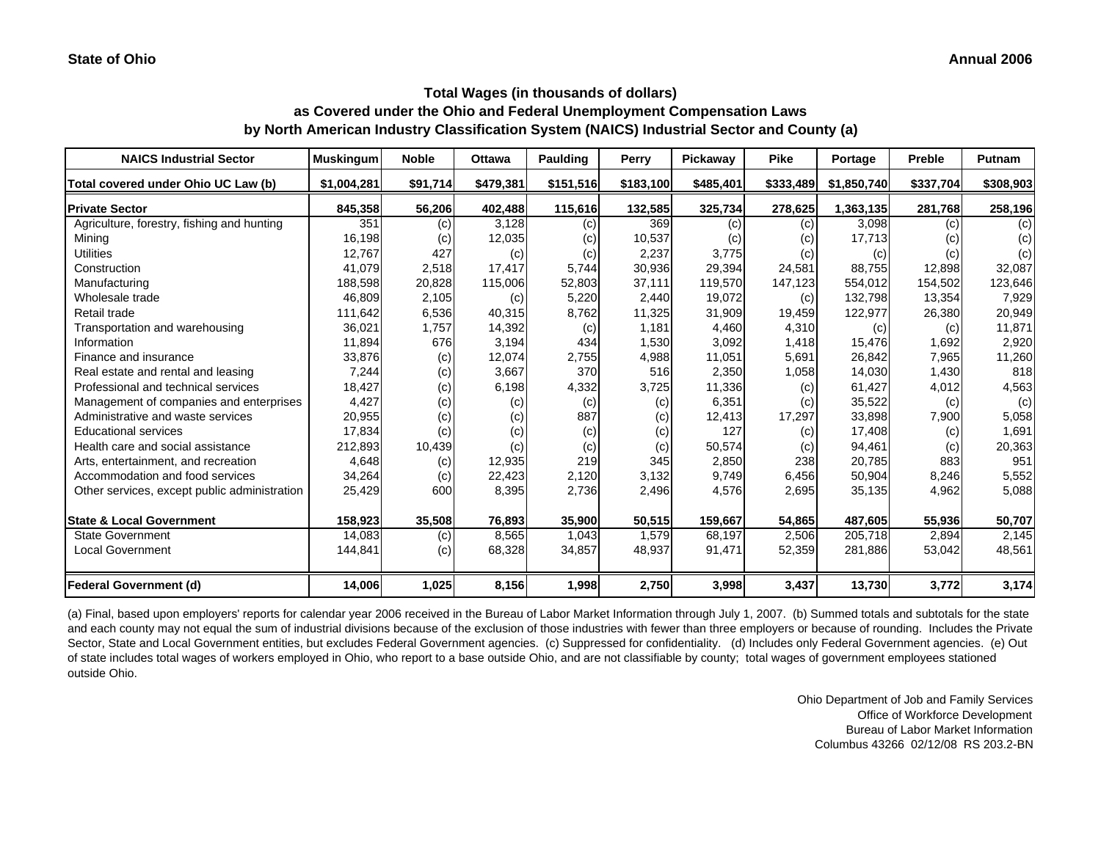| <b>NAICS Industrial Sector</b>               | <b>Muskingum</b> | <b>Noble</b> | <b>Ottawa</b> | <b>Paulding</b> | Perry     | Pickaway  | <b>Pike</b> | Portage     | <b>Preble</b> | <b>Putnam</b> |
|----------------------------------------------|------------------|--------------|---------------|-----------------|-----------|-----------|-------------|-------------|---------------|---------------|
| Total covered under Ohio UC Law (b)          | \$1,004,281      | \$91,714     | \$479,381     | \$151,516       | \$183,100 | \$485,401 | \$333,489   | \$1,850,740 | \$337,704     | \$308,903     |
| <b>Private Sector</b>                        | 845,358          | 56,206       | 402,488       | 115,616         | 132,585   | 325,734   | 278,625     | 1,363,135   | 281,768       | 258,196       |
| Agriculture, forestry, fishing and hunting   | 351              | (c)          | 3,128         | (c)             | 369       | (c)       | (c)         | 3,098       | (c)           | (c)           |
| Mining                                       | 16,198           | (c)          | 12,035        | (c)             | 10,537    | (c)       | (c)         | 17,713      | (c)           | (c)           |
| <b>Utilities</b>                             | 12,767           | 427          | (c)           | (c)             | 2,237     | 3,775     | (c)         | (c)         | (c)           | (c)           |
| Construction                                 | 41,079           | 2,518        | 17,417        | 5,744           | 30,936    | 29,394    | 24,581      | 88,755      | 12,898        | 32,087        |
| Manufacturing                                | 188,598          | 20,828       | 115,006       | 52,803          | 37,111    | 119,570   | 147,123     | 554,012     | 154,502       | 123,646       |
| Wholesale trade                              | 46,809           | 2,105        | (c)           | 5,220           | 2,440     | 19,072    | (c)         | 132,798     | 13,354        | 7,929         |
| Retail trade                                 | 111,642          | 6,536        | 40,315        | 8,762           | 11,325    | 31,909    | 19,459      | 122,977     | 26,380        | 20,949        |
| Transportation and warehousing               | 36,021           | 1,757        | 14,392        | (c)             | 1,181     | 4,460     | 4,310       | (c)         | (c)           | 11,871        |
| Information                                  | 11,894           | 676          | 3,194         | 434             | 1,530     | 3,092     | 1,418       | 15,476      | 1,692         | 2,920         |
| Finance and insurance                        | 33,876           | (c)          | 12,074        | 2,755           | 4,988     | 11,051    | 5,691       | 26,842      | 7,965         | 11,260        |
| Real estate and rental and leasing           | 7,244            | (c)          | 3,667         | 370             | 516       | 2,350     | 1,058       | 14,030      | 1,430         | 818           |
| Professional and technical services          | 18,427           | (c)          | 6,198         | 4,332           | 3,725     | 11,336    | (c)         | 61,427      | 4,012         | 4,563         |
| Management of companies and enterprises      | 4,427            | (c)          | (c)           | (c)             | (c)       | 6,351     | (c)         | 35,522      | (c)           | (c)           |
| Administrative and waste services            | 20,955           | (c)          | (c)           | 887             | (c)       | 12,413    | 17,297      | 33,898      | 7,900         | 5,058         |
| <b>Educational services</b>                  | 17,834           | (c)          | (c)           | (c)             | (c)       | 127       | (c)         | 17,408      | (c)           | 1,691         |
| Health care and social assistance            | 212,893          | 10,439       | (c)           | (c)             | (c)       | 50,574    | (c)         | 94,461      | (c)           | 20,363        |
| Arts, entertainment, and recreation          | 4,648            | (c)          | 12,935        | 219             | 345       | 2,850     | 238         | 20,785      | 883           | 951           |
| Accommodation and food services              | 34,264           | (c)          | 22,423        | 2,120           | 3,132     | 9,749     | 6,456       | 50,904      | 8,246         | 5,552         |
| Other services, except public administration | 25,429           | 600          | 8,395         | 2,736           | 2,496     | 4,576     | 2,695       | 35,135      | 4,962         | 5,088         |
| <b>State &amp; Local Government</b>          | 158,923          | 35,508       | 76,893        | 35,900          | 50,515    | 159,667   | 54,865      | 487,605     | 55,936        | 50,707        |
| <b>State Government</b>                      | 14,083           | (c)          | 8,565         | 1,043           | 1,579     | 68,197    | 2,506       | 205,718     | 2,894         | 2,145         |
| <b>Local Government</b>                      | 144,841          | (c)          | 68,328        | 34,857          | 48,937    | 91,471    | 52,359      | 281,886     | 53,042        | 48,561        |
| <b>Federal Government (d)</b>                | 14,006           | 1,025        | 8,156         | 1,998           | 2,750     | 3,998     | 3,437       | 13,730      | 3,772         | 3,174         |

(a) Final, based upon employers' reports for calendar year 2006 received in the Bureau of Labor Market Information through July 1, 2007. (b) Summed totals and subtotals for the state and each county may not equal the sum of industrial divisions because of the exclusion of those industries with fewer than three employers or because of rounding. Includes the Private Sector, State and Local Government entities, but excludes Federal Government agencies. (c) Suppressed for confidentiality. (d) Includes only Federal Government agencies. (e) Out of state includes total wages of workers employed in Ohio, who report to a base outside Ohio, and are not classifiable by county; total wages of government employees stationed outside Ohio.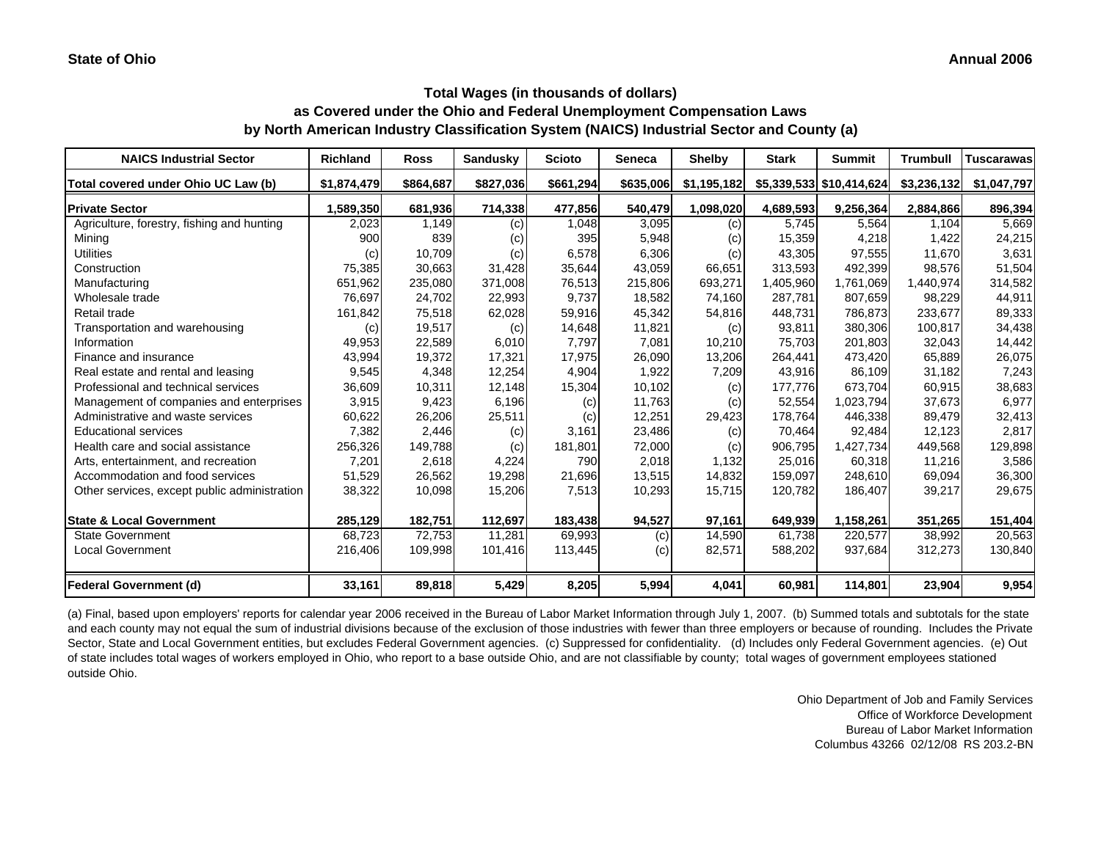| <b>NAICS Industrial Sector</b>               | <b>Richland</b> | <b>Ross</b> | <b>Sandusky</b> | <b>Scioto</b> | <b>Seneca</b> | <b>Shelby</b> | <b>Stark</b> | <b>Summit</b>              | <b>Trumbull</b> | <b>Tuscarawas</b> |
|----------------------------------------------|-----------------|-------------|-----------------|---------------|---------------|---------------|--------------|----------------------------|-----------------|-------------------|
| Total covered under Ohio UC Law (b)          | \$1,874,479     | \$864,687   | \$827,036       | \$661,294     | \$635,006     | \$1,195,182   |              | $$5,339,533$ $$10,414,624$ | \$3,236,132     | \$1,047,797       |
| <b>Private Sector</b>                        | 1,589,350       | 681,936     | 714,338         | 477,856       | 540,479       | 1,098,020     | 4,689,593    | 9,256,364                  | 2,884,866       | 896,394           |
| Agriculture, forestry, fishing and hunting   | 2,023           | 1,149       | (c)             | 1,048         | 3,095         | (c)           | 5,745        | 5,564                      | 1,104           | 5,669             |
| Mining                                       | 900             | 839         | (c)             | 395           | 5,948         | (c)           | 15,359       | 4,218                      | 1,422           | 24,215            |
| <b>Utilities</b>                             | (c)             | 10,709      | (c)             | 6,578         | 6,306         | (c)           | 43,305       | 97,555                     | 11,670          | 3,631             |
| Construction                                 | 75,385          | 30,663      | 31,428          | 35,644        | 43,059        | 66,651        | 313,593      | 492,399                    | 98,576          | 51,504            |
| Manufacturing                                | 651,962         | 235,080     | 371,008         | 76,513        | 215,806       | 693,271       | 1,405,960    | 1,761,069                  | 1,440,974       | 314,582           |
| Wholesale trade                              | 76,697          | 24,702      | 22,993          | 9,737         | 18,582        | 74,160        | 287,781      | 807,659                    | 98,229          | 44,911            |
| Retail trade                                 | 161,842         | 75,518      | 62,028          | 59,916        | 45,342        | 54,816        | 448,731      | 786,873                    | 233,677         | 89,333            |
| Transportation and warehousing               | (c)             | 19,517      | (c)             | 14,648        | 11,821        | (c)           | 93,811       | 380.306                    | 100,817         | 34,438            |
| Information                                  | 49,953          | 22,589      | 6,010           | 7,797         | 7,081         | 10,210        | 75,703       | 201,803                    | 32,043          | 14,442            |
| Finance and insurance                        | 43,994          | 19,372      | 17,321          | 17,975        | 26,090        | 13,206        | 264,441      | 473,420                    | 65,889          | 26,075            |
| Real estate and rental and leasing           | 9,545           | 4,348       | 12,254          | 4,904         | 1,922         | 7,209         | 43,916       | 86,109                     | 31,182          | 7,243             |
| Professional and technical services          | 36,609          | 10,311      | 12,148          | 15,304        | 10,102        | (c)           | 177,776      | 673.704                    | 60,915          | 38,683            |
| Management of companies and enterprises      | 3,915           | 9,423       | 6,196           | (c)           | 11,763        | (c)           | 52,554       | 1,023,794                  | 37,673          | 6,977             |
| Administrative and waste services            | 60,622          | 26,206      | 25,511          | (c)           | 12,251        | 29,423        | 178,764      | 446,338                    | 89,479          | 32,413            |
| <b>Educational services</b>                  | 7,382           | 2,446       | (c)             | 3,161         | 23,486        | (c)           | 70,464       | 92,484                     | 12,123          | 2,817             |
| Health care and social assistance            | 256,326         | 149,788     | (c)             | 181,801       | 72,000        | (c)           | 906,795      | 1,427,734                  | 449,568         | 129,898           |
| Arts, entertainment, and recreation          | 7,201           | 2,618       | 4,224           | 790           | 2,018         | 1,132         | 25,016       | 60,318                     | 11,216          | 3,586             |
| Accommodation and food services              | 51,529          | 26,562      | 19,298          | 21,696        | 13,515        | 14,832        | 159,097      | 248,610                    | 69,094          | 36,300            |
| Other services, except public administration | 38,322          | 10,098      | 15,206          | 7,513         | 10,293        | 15,715        | 120,782      | 186,407                    | 39,217          | 29,675            |
| <b>State &amp; Local Government</b>          | 285,129         | 182,751     | 112,697         | 183,438       | 94,527        | 97,161        | 649,939      | 1,158,261                  | 351,265         | 151,404           |
| <b>State Government</b>                      | 68,723          | 72.753      | 11.281          | 69,993        | (c)           | 14,590        | 61.738       | 220,577                    | 38,992          | 20,563            |
| <b>Local Government</b>                      | 216,406         | 109,998     | 101,416         | 113,445       | (c)           | 82,571        | 588,202      | 937,684                    | 312,273         | 130,840           |
| <b>Federal Government (d)</b>                | 33,161          | 89,818      | 5,429           | 8,205         | 5,994         | 4,041         | 60,981       | 114,801                    | 23,904          | 9,954             |

(a) Final, based upon employers' reports for calendar year 2006 received in the Bureau of Labor Market Information through July 1, 2007. (b) Summed totals and subtotals for the state and each county may not equal the sum of industrial divisions because of the exclusion of those industries with fewer than three employers or because of rounding. Includes the Private Sector, State and Local Government entities, but excludes Federal Government agencies. (c) Suppressed for confidentiality. (d) Includes only Federal Government agencies. (e) Out of state includes total wages of workers employed in Ohio, who report to a base outside Ohio, and are not classifiable by county; total wages of government employees stationed outside Ohio.